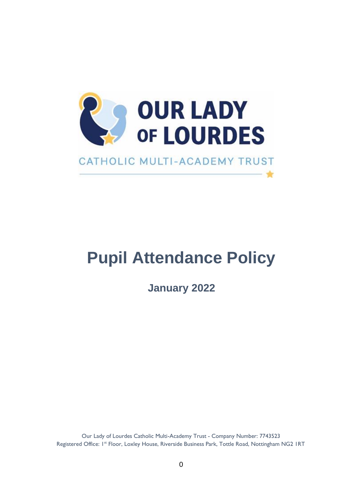

# **Pupil Attendance Policy**

**January 2022**

Our Lady of Lourdes Catholic Multi-Academy Trust - Company Number: 7743523 Registered Office: 1<sup>st</sup> Floor, Loxley House, Riverside Business Park, Tottle Road, Nottingham NG2 IRT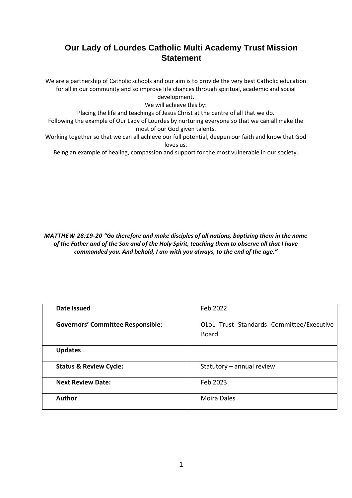# **Our Lady of Lourdes Catholic Multi Academy Trust Mission Statement**

We are a partnership of Catholic schools and our aim is to provide the very best Catholic education for all in our community and so improve life chances through spiritual, academic and social development.

We will achieve this by:

Placing the life and teachings of Jesus Christ at the centre of all that we do.

Following the example of Our Lady of Lourdes by nurturing everyone so that we can all make the most of our God given talents.

Working together so that we can all achieve our full potential, deepen our faith and know that God loves us.

Being an example of healing, compassion and support for the most vulnerable in our society.

*MATTHEW 28:19-20 "Go therefore and make disciples of all nations, baptizing them in the name of the Father and of the Son and of the Holy Spirit, teaching them to observe all that I have commanded you. And behold, I am with you always, to the end of the age."*

| Date Issued                              | Feb 2022                                                 |
|------------------------------------------|----------------------------------------------------------|
| <b>Governors' Committee Responsible:</b> | OLoL Trust Standards Committee/Executive<br><b>Board</b> |
| <b>Updates</b>                           |                                                          |
| <b>Status &amp; Review Cycle:</b>        | Statutory - annual review                                |
| <b>Next Review Date:</b>                 | Feb 2023                                                 |
| <b>Author</b>                            | <b>Moira Dales</b>                                       |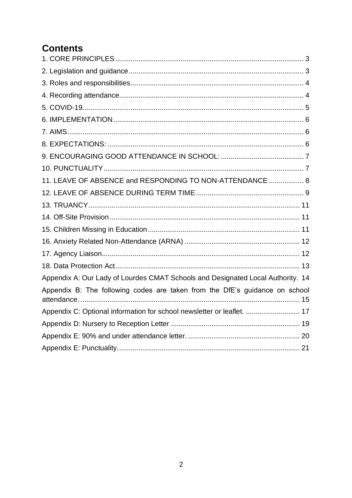# **Contents**

| 11. LEAVE OF ABSENCE and RESPONDING TO NON-ATTENDANCE  8                        |  |
|---------------------------------------------------------------------------------|--|
|                                                                                 |  |
|                                                                                 |  |
|                                                                                 |  |
|                                                                                 |  |
|                                                                                 |  |
|                                                                                 |  |
|                                                                                 |  |
| Appendix A: Our Lady of Lourdes CMAT Schools and Designated Local Authority. 14 |  |
| Appendix B: The following codes are taken from the DfE's guidance on school     |  |
| Appendix C: Optional information for school newsletter or leaflet.  17          |  |
|                                                                                 |  |
|                                                                                 |  |
|                                                                                 |  |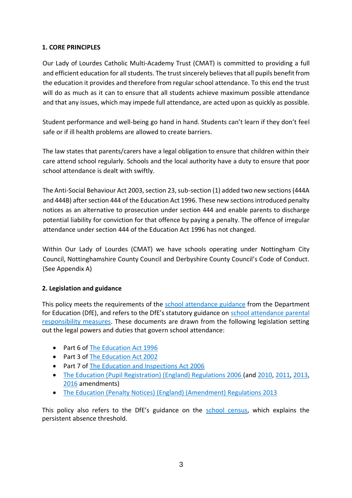#### <span id="page-3-0"></span>**1. CORE PRINCIPLES**

Our Lady of Lourdes Catholic Multi-Academy Trust (CMAT) is committed to providing a full and efficient education for all students. The trust sincerely believes that all pupils benefit from the education it provides and therefore from regular school attendance. To this end the trust will do as much as it can to ensure that all students achieve maximum possible attendance and that any issues, which may impede full attendance, are acted upon as quickly as possible.

Student performance and well-being go hand in hand. Students can't learn if they don't feel safe or if ill health problems are allowed to create barriers.

The law states that parents/carers have a legal obligation to ensure that children within their care attend school regularly. Schools and the local authority have a duty to ensure that poor school attendance is dealt with swiftly.

The Anti-Social Behaviour Act 2003, section 23, sub-section (1) added two new sections (444A and 444B) after section 444 of the Education Act 1996. These new sections introduced penalty notices as an alternative to prosecution under section 444 and enable parents to discharge potential liability for conviction for that offence by paying a penalty. The offence of irregular attendance under section 444 of the Education Act 1996 has not changed.

Within Our Lady of Lourdes (CMAT) we have schools operating under Nottingham City Council, Nottinghamshire County Council and Derbyshire County Council's Code of Conduct. (See Appendix A)

#### <span id="page-3-1"></span>**2. Legislation and guidance**

This policy meets the requirements of the [school attendance guidance](https://www.gov.uk/government/publications/school-attendance) from the Department for Education (DfE), and refers to the DfE's statutory guidance on school attendance parental [responsibility measures.](https://www.gov.uk/government/publications/parental-responsibility-measures-for-behaviour-and-attendance) These documents are drawn from the following legislation setting out the legal powers and duties that govern school attendance:

- Part 6 of [The Education Act 1996](https://www.legislation.gov.uk/ukpga/1996/56/part/VI/chapter/II)
- Part 3 of [The Education Act 2002](http://www.legislation.gov.uk/ukpga/2002/32/part/3/chapter/3)
- Part 7 of [The Education and Inspections Act 2006](http://www.legislation.gov.uk/ukpga/2006/40/part/7/chapter/2/crossheading/school-attendance)
- [The Education \(Pupil Registration\) \(England\) Regulations 2006](http://www.legislation.gov.uk/uksi/2006/1751/contents/made) (and [2010,](https://www.legislation.gov.uk/uksi/2010/1725/regulation/2/made) [2011,](https://www.legislation.gov.uk/uksi/2011/1625/made) [2013,](https://www.legislation.gov.uk/uksi/2013/756/made) [2016](https://www.legislation.gov.uk/uksi/2016/792/made/data.html) amendments)
- [The Education \(Penalty Notices\) \(England\) \(Amendment\) Regulations 2013](https://www.legislation.gov.uk/uksi/2013/757/regulation/2/made)

This policy also refers to the DfE's guidance on the [school census,](https://www.gov.uk/guidance/complete-the-school-census) which explains the persistent absence threshold.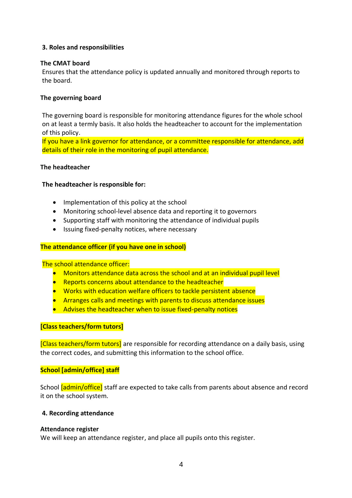#### <span id="page-4-0"></span>**3. Roles and responsibilities**

#### **The CMAT board**

Ensures that the attendance policy is updated annually and monitored through reports to the board.

#### **The governing board**

The governing board is responsible for monitoring attendance figures for the whole school on at least a termly basis. It also holds the headteacher to account for the implementation of this policy.

If you have a link governor for attendance, or a committee responsible for attendance, add details of their role in the monitoring of pupil attendance.

#### **The headteacher**

#### **The headteacher is responsible for:**

- Implementation of this policy at the school
- Monitoring school-level absence data and reporting it to governors
- Supporting staff with monitoring the attendance of individual pupils
- Issuing fixed-penalty notices, where necessary

#### **The attendance officer (if you have one in school)**

The school attendance officer:

- Monitors attendance data across the school and at an individual pupil level
- Reports concerns about attendance to the headteacher
- Works with education welfare officers to tackle persistent absence
- Arranges calls and meetings with parents to discuss attendance issues
- Advises the headteacher when to issue fixed-penalty notices

#### **[Class teachers/form tutors]**

[Class teachers/form tutors] are responsible for recording attendance on a daily basis, using the correct codes, and submitting this information to the school office.

#### **School [admin/office] staff**

School [admin/office] staff are expected to take calls from parents about absence and record it on the school system.

#### <span id="page-4-1"></span>**4. Recording attendance**

#### **Attendance register**

We will keep an attendance register, and place all pupils onto this register.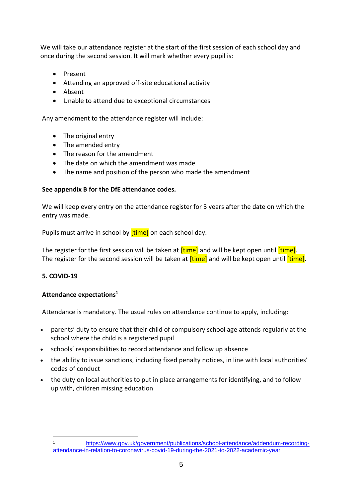We will take our attendance register at the start of the first session of each school day and once during the second session. It will mark whether every pupil is:

- Present
- Attending an approved off-site educational activity
- Absent
- Unable to attend due to exceptional circumstances

Any amendment to the attendance register will include:

- The original entry
- The amended entry
- The reason for the amendment
- The date on which the amendment was made
- The name and position of the person who made the amendment

#### **See appendix B for the DfE attendance codes.**

We will keep every entry on the attendance register for 3 years after the date on which the entry was made.

Pupils must arrive in school by **[time]** on each school day.

The register for the first session will be taken at **[time]** and will be kept open until *[time]*. The register for the second session will be taken at *[time]* and will be kept open until *[time]*.

#### <span id="page-5-0"></span>**5. COVID-19**

#### **Attendance expectations<sup>1</sup>**

Attendance is mandatory. The usual rules on attendance continue to apply, including:

- parents' duty to ensure that their child of compulsory school age attends regularly at the school where the child is a registered pupil
- schools' responsibilities to record attendance and follow up absence
- the ability to issue sanctions, including fixed penalty notices, in line with local authorities' codes of conduct
- the duty on local authorities to put in place arrangements for identifying, and to follow up with, children missing education

<sup>1</sup> [https://www.gov.uk/government/publications/school-attendance/addendum-recording](https://www.gov.uk/government/publications/school-attendance/addendum-recording-attendance-in-relation-to-coronavirus-covid-19-during-the-2021-to-2022-academic-year)[attendance-in-relation-to-coronavirus-covid-19-during-the-2021-to-2022-academic-year](https://www.gov.uk/government/publications/school-attendance/addendum-recording-attendance-in-relation-to-coronavirus-covid-19-during-the-2021-to-2022-academic-year)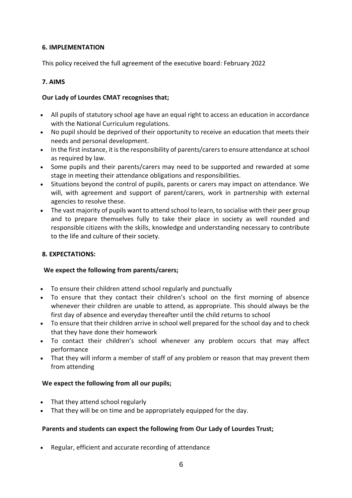#### <span id="page-6-0"></span>**6. IMPLEMENTATION**

This policy received the full agreement of the executive board: February 2022

#### <span id="page-6-1"></span>**7. AIMS**

#### **Our Lady of Lourdes CMAT recognises that;**

- All pupils of statutory school age have an equal right to access an education in accordance with the National Curriculum regulations.
- No pupil should be deprived of their opportunity to receive an education that meets their needs and personal development.
- In the first instance, it is the responsibility of parents/carers to ensure attendance at school as required by law.
- Some pupils and their parents/carers may need to be supported and rewarded at some stage in meeting their attendance obligations and responsibilities.
- Situations beyond the control of pupils, parents or carers may impact on attendance. We will, with agreement and support of parent/carers, work in partnership with external agencies to resolve these.
- The vast majority of pupils want to attend school to learn, to socialise with their peer group and to prepare themselves fully to take their place in society as well rounded and responsible citizens with the skills, knowledge and understanding necessary to contribute to the life and culture of their society.

#### <span id="page-6-2"></span>**8. EXPECTATIONS:**

#### **We expect the following from parents/carers;**

- To ensure their children attend school regularly and punctually
- To ensure that they contact their children's school on the first morning of absence whenever their children are unable to attend, as appropriate. This should always be the first day of absence and everyday thereafter until the child returns to school
- To ensure that their children arrive in school well prepared for the school day and to check that they have done their homework
- To contact their children's school whenever any problem occurs that may affect performance
- That they will inform a member of staff of any problem or reason that may prevent them from attending

#### **We expect the following from all our pupils;**

- That they attend school regularly
- That they will be on time and be appropriately equipped for the day.

#### **Parents and students can expect the following from Our Lady of Lourdes Trust;**

• Regular, efficient and accurate recording of attendance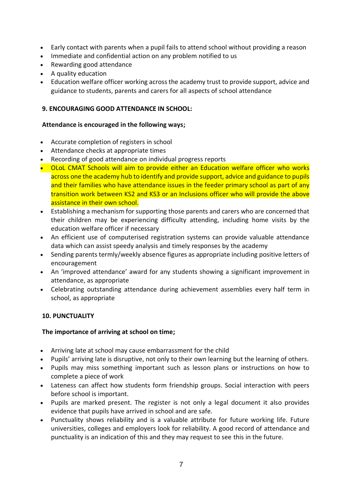- Early contact with parents when a pupil fails to attend school without providing a reason
- Immediate and confidential action on any problem notified to us
- Rewarding good attendance
- A quality education
- Education welfare officer working across the academy trust to provide support, advice and guidance to students, parents and carers for all aspects of school attendance

#### <span id="page-7-0"></span>**9. ENCOURAGING GOOD ATTENDANCE IN SCHOOL:**

#### **Attendance is encouraged in the following ways;**

- Accurate completion of registers in school
- Attendance checks at appropriate times
- Recording of good attendance on individual progress reports
- OLoL CMAT Schools will aim to provide either an Education welfare officer who works across one the academy hub to identify and provide support, advice and guidance to pupils and their families who have attendance issues in the feeder primary school as part of any transition work between KS2 and KS3 or an Inclusions officer who will provide the above assistance in their own school.
- Establishing a mechanism for supporting those parents and carers who are concerned that their children may be experiencing difficulty attending, including home visits by the education welfare officer if necessary
- An efficient use of computerised registration systems can provide valuable attendance data which can assist speedy analysis and timely responses by the academy
- Sending parents termly/weekly absence figures as appropriate including positive letters of encouragement
- An 'improved attendance' award for any students showing a significant improvement in attendance, as appropriate
- Celebrating outstanding attendance during achievement assemblies every half term in school, as appropriate

#### <span id="page-7-1"></span>**10. PUNCTUALITY**

#### **The importance of arriving at school on time;**

- Arriving late at school may cause embarrassment for the child
- Pupils' arriving late is disruptive, not only to their own learning but the learning of others.
- Pupils may miss something important such as lesson plans or instructions on how to complete a piece of work
- Lateness can affect how students form friendship groups. Social interaction with peers before school is important.
- Pupils are marked present. The register is not only a legal document it also provides evidence that pupils have arrived in school and are safe.
- Punctuality shows reliability and is a valuable attribute for future working life. Future universities, colleges and employers look for reliability. A good record of [attendance](http://www.essex.gov.uk/Education-Schools/Schools/Attending-School/Pages/Attending-School.aspx) [an](http://www.essex.gov.uk/Education-Schools/Schools/Attending-School/Pages/Attending-School.aspx)d punctuality is an indication of this and they may request to see this in the future.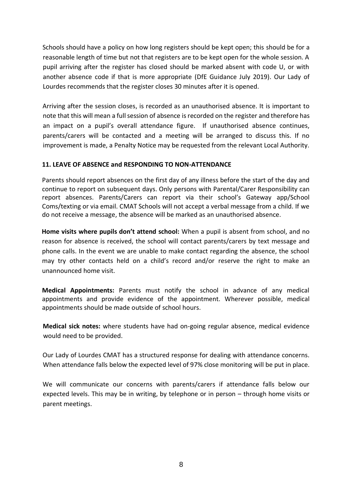Schools should have a policy on how long registers should be kept open; this should be for a reasonable length of time but not that registers are to be kept open for the whole session. A pupil arriving after the register has closed should be marked absent with code U, or with another absence code if that is more appropriate (DfE Guidance July 2019). Our Lady of Lourdes recommends that the register closes 30 minutes after it is opened.

Arriving after the session closes, is recorded as an unauthorised absence. It is important to note that this will mean a full session of absence is recorded on the register and therefore has an impact on a pupil's overall attendance figure. If unauthorised absence continues, parents/carers will be contacted and a meeting will be arranged to discuss this. If no improvement is made, a Penalty Notice may be requested from the relevant Local Authority.

#### <span id="page-8-0"></span>**11. LEAVE OF ABSENCE and RESPONDING TO NON-ATTENDANCE**

Parents should report absences on the first day of any illness before the start of the day and continue to report on subsequent days. Only persons with Parental/Carer Responsibility can report absences. Parents/Carers can report via their school's Gateway app/School Coms/texting or via email. CMAT Schools will not accept a verbal message from a child. If we do not receive a message, the absence will be marked as an unauthorised absence.

**Home visits where pupils don't attend school:** When a pupil is absent from school, and no reason for absence is received, the school will contact parents/carers by text message and phone calls. In the event we are unable to make contact regarding the absence, the school may try other contacts held on a child's record and/or reserve the right to make an unannounced home visit.

**Medical Appointments:** Parents must notify the school in advance of any medical appointments and provide evidence of the appointment. Wherever possible, medical appointments should be made outside of school hours.

**Medical sick notes:** where students have had on-going regular absence, medical evidence would need to be provided.

Our Lady of Lourdes CMAT has a structured response for dealing with attendance concerns. When attendance falls below the expected level of 97% close monitoring will be put in place.

We will communicate our concerns with parents/carers if attendance falls below our expected levels. This may be in writing, by telephone or in person – through home visits or parent meetings.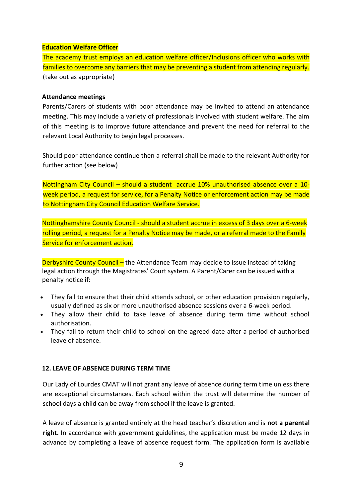#### **Education Welfare Officer**

The academy trust employs an education welfare officer/Inclusions officer who works with families to overcome any barriers that may be preventing a student from attending regularly. (take out as appropriate)

#### **Attendance meetings**

Parents/Carers of students with poor attendance may be invited to attend an attendance meeting. This may include a variety of professionals involved with student welfare. The aim of this meeting is to improve future attendance and prevent the need for referral to the relevant Local Authority to begin legal processes.

Should poor attendance continue then a referral shall be made to the relevant Authority for further action (see below)

Nottingham City Council – should a student accrue 10% unauthorised absence over a 10 week period, a request for service, for a Penalty Notice or enforcement action may be made to Nottingham City Council Education Welfare Service.

Nottinghamshire County Council - should a student accrue in excess of 3 days over a 6-week rolling period, a request for a Penalty Notice may be made, or a referral made to the Family Service for enforcement action.

Derbyshire County Council – the Attendance Team may decide to issue instead of taking legal action through the Magistrates' Court system. A Parent/Carer can be issued with a penalty notice if:

- They fail to ensure that their child attends school, or other education provision regularly, usually defined as six or more unauthorised absence sessions over a 6-week period.
- They allow their child to take leave of absence during term time without school authorisation.
- They fail to return their child to school on the agreed date after a period of authorised leave of absence.

#### <span id="page-9-0"></span>**12. LEAVE OF ABSENCE DURING TERM TIME**

Our Lady of Lourdes CMAT will not grant any leave of absence during term time unless there are exceptional circumstances. Each school within the trust will determine the number of school days a child can be away from school if the leave is granted.

A leave of absence is granted entirely at the head teacher's discretion and is **not a parental right.** In accordance with government guidelines, the application must be made 12 days in advance by completing a leave of absence request form. The application form is available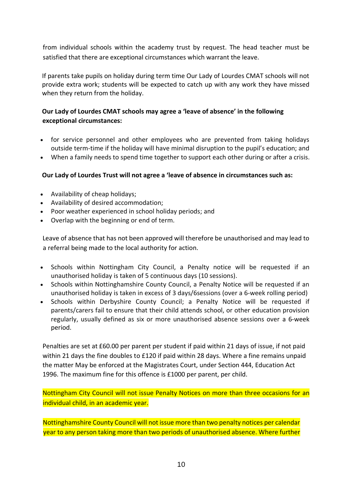from individual schools within the academy trust by request. The head teacher must be satisfied that there are exceptional circumstances which warrant the leave.

If parents take pupils on holiday during term time Our Lady of Lourdes CMAT schools will not provide extra work; students will be expected to catch up with any work they have missed when they return from the holiday.

#### **Our Lady of Lourdes CMAT schools may agree a 'leave of absence' in the following exceptional circumstances:**

- for service personnel and other employees who are prevented from taking holidays outside term-time if the holiday will have minimal disruption to the pupil's education; and
- When a family needs to spend time together to support each other during or after a crisis.

#### **Our Lady of Lourdes Trust will not agree a 'leave of absence in circumstances such as:**

- Availability of cheap holidays;
- Availability of desired accommodation;
- Poor weather experienced in school holiday periods; and
- Overlap with the beginning or end of term.

Leave of absence that has not been approved will therefore be unauthorised and may lead to a referral being made to the local authority for action.

- Schools within Nottingham City Council, a Penalty notice will be requested if an unauthorised holiday is taken of 5 continuous days (10 sessions).
- Schools within Nottinghamshire County Council, a Penalty Notice will be requested if an unauthorised holiday is taken in excess of 3 days/6sessions (over a 6-week rolling period)
- Schools within Derbyshire County Council; a Penalty Notice will be requested if parents/carers fail to ensure that their child attends school, or other education provision regularly, usually defined as six or more unauthorised absence sessions over a 6-week period.

Penalties are set at £60.00 per parent per student if paid within 21 days of issue, if not paid within 21 days the fine doubles to £120 if paid within 28 days. Where a fine remains unpaid the matter May be enforced at the Magistrates Court, under Section 444, Education Act 1996. The maximum fine for this offence is £1000 per parent, per child.

Nottingham City Council will not issue Penalty Notices on more than three occasions for an individual child, in an academic year.

Nottinghamshire County Council will not issue more than two penalty notices per calendar year to any person taking more than two periods of unauthorised absence. Where further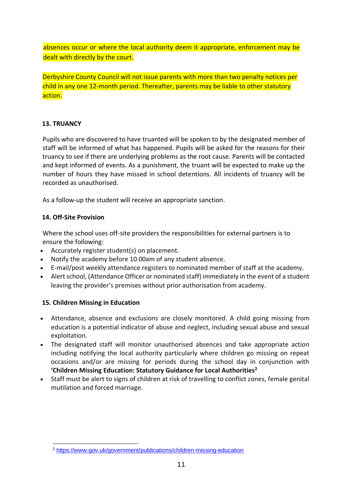absences occur or where the local authority deem it appropriate, enforcement may be dealt with directly by the court.

Derbyshire County Council will not issue parents with more than two penalty notices per child in any one 12-month period. Thereafter, parents may be liable to other statutory action.

#### <span id="page-11-0"></span>**13. TRUANCY**

Pupils who are discovered to have truanted will be spoken to by the designated member of staff will be informed of what has happened. Pupils will be asked for the reasons for their truancy to see if there are underlying problems as the root cause. Parents will be contacted and kept informed of events. As a punishment, the truant will be expected to make up the number of hours they have missed in school detentions. All incidents of truancy will be recorded as unauthorised.

As a follow-up the student will receive an appropriate sanction.

#### <span id="page-11-1"></span>**14. Off-Site Provision**

Where the school uses off-site providers the responsibilities for external partners is to ensure the following:

- Accurately register student(s) on placement.
- Notify the academy before 10.00am of any student absence.
- E-mail/post weekly attendance registers to nominated member of staff at the academy.
- Alert school, (Attendance Officer or nominated staff) immediately in the event of a student leaving the provider's premises without prior authorisation from academy.

#### <span id="page-11-2"></span>**15. Children Missing in Education**

- Attendance, absence and exclusions are closely monitored. A child going missing from education is a potential indicator of abuse and neglect, including sexual abuse and sexual exploitation.
- The designated staff will monitor unauthorised absences and take appropriate action including notifying the local authority particularly where children go missing on repeat occasions and/or are missing for periods during the school day in conjunction with **'Children Missing Education: Statutory Guidance for Local Authorities<sup>2</sup>**
- Staff must be alert to signs of children at risk of travelling to conflict zones, female genital mutilation and forced marriage.

<sup>2</sup> <https://www.gov.uk/government/publications/children-missing-education>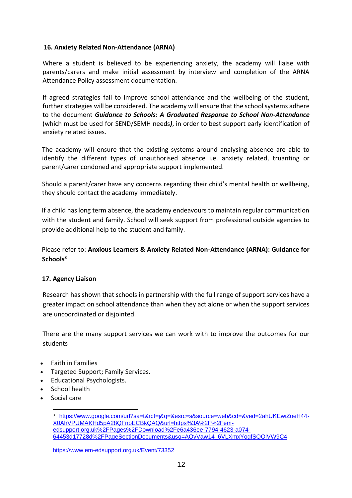#### <span id="page-12-0"></span>**16. Anxiety Related Non-Attendance (ARNA)**

Where a student is believed to be experiencing anxiety, the academy will liaise with parents/carers and make initial assessment by interview and completion of the ARNA Attendance Policy assessment documentation.

If agreed strategies fail to improve school attendance and the wellbeing of the student, further strategies will be considered. The academy will ensure that the school systems adhere to the document *Guidance to Schools: A Graduated Response to School Non-Attendance* (which must be used for SEND/SEMH needs*)*, in order to best support early identification of anxiety related issues.

The academy will ensure that the existing systems around analysing absence are able to identify the different types of unauthorised absence i.e. anxiety related, truanting or parent/carer condoned and appropriate support implemented.

Should a parent/carer have any concerns regarding their child's mental health or wellbeing, they should contact the academy immediately.

If a child has long term absence, the academy endeavours to maintain regular communication with the student and family. School will seek support from professional outside agencies to provide additional help to the student and family.

Please refer to: **Anxious Learners & Anxiety Related Non-Attendance (ARNA): Guidance for Schools<sup>3</sup>**

#### <span id="page-12-1"></span>**17. Agency Liaison**

Research has shown that schools in partnership with the full range of support services have a greater impact on school attendance than when they act alone or when the support services are uncoordinated or disjointed.

There are the many support services we can work with to improve the outcomes for our students

- Faith in Families
- Targeted Support; Family Services.
- Educational Psychologists.
- School health
- Social care

<sup>3</sup> [https://www.google.com/url?sa=t&rct=j&q=&esrc=s&source=web&cd=&ved=2ahUKEwiZoeH44-](https://www.google.com/url?sa=t&rct=j&q=&esrc=s&source=web&cd=&ved=2ahUKEwiZoeH44-X0AhVPUMAKHd5pA28QFnoECBkQAQ&url=https%3A%2F%2Fem-edsupport.org.uk%2FPages%2FDownload%2Fe6a436ee-7794-4623-a074-64453d17728d%2FPageSectionDocuments&usg=AOvVaw14_6VLXmxYogfSQOlVW9C4) [X0AhVPUMAKHd5pA28QFnoECBkQAQ&url=https%3A%2F%2Fem](https://www.google.com/url?sa=t&rct=j&q=&esrc=s&source=web&cd=&ved=2ahUKEwiZoeH44-X0AhVPUMAKHd5pA28QFnoECBkQAQ&url=https%3A%2F%2Fem-edsupport.org.uk%2FPages%2FDownload%2Fe6a436ee-7794-4623-a074-64453d17728d%2FPageSectionDocuments&usg=AOvVaw14_6VLXmxYogfSQOlVW9C4)[edsupport.org.uk%2FPages%2FDownload%2Fe6a436ee-7794-4623-a074-](https://www.google.com/url?sa=t&rct=j&q=&esrc=s&source=web&cd=&ved=2ahUKEwiZoeH44-X0AhVPUMAKHd5pA28QFnoECBkQAQ&url=https%3A%2F%2Fem-edsupport.org.uk%2FPages%2FDownload%2Fe6a436ee-7794-4623-a074-64453d17728d%2FPageSectionDocuments&usg=AOvVaw14_6VLXmxYogfSQOlVW9C4) [64453d17728d%2FPageSectionDocuments&usg=AOvVaw14\\_6VLXmxYogfSQOlVW9C4](https://www.google.com/url?sa=t&rct=j&q=&esrc=s&source=web&cd=&ved=2ahUKEwiZoeH44-X0AhVPUMAKHd5pA28QFnoECBkQAQ&url=https%3A%2F%2Fem-edsupport.org.uk%2FPages%2FDownload%2Fe6a436ee-7794-4623-a074-64453d17728d%2FPageSectionDocuments&usg=AOvVaw14_6VLXmxYogfSQOlVW9C4)

<https://www.em-edsupport.org.uk/Event/73352>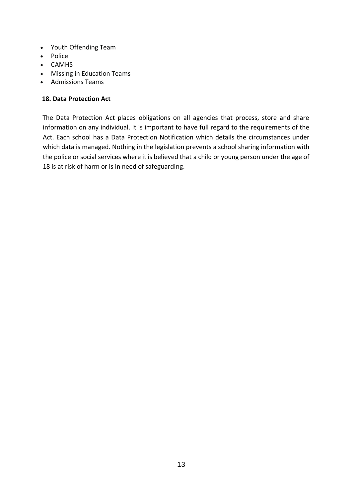- Youth Offending Team
- Police
- CAMHS
- Missing in Education Teams
- Admissions Teams

#### <span id="page-13-0"></span>**18. Data Protection Act**

The Data Protection Act places obligations on all agencies that process, store and share information on any individual. It is important to have full regard to the requirements of the Act. Each school has a Data Protection Notification which details the circumstances under which data is managed. Nothing in the legislation prevents a school sharing information with the police or social services where it is believed that a child or young person under the age of 18 is at risk of harm or is in need of safeguarding.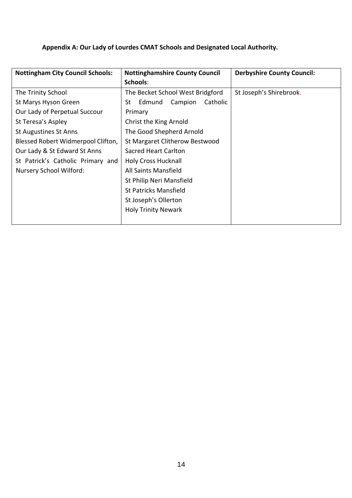## <span id="page-14-0"></span>**Appendix A: Our Lady of Lourdes CMAT Schools and Designated Local Authority.**

| <b>Nottingham City Council Schools:</b> | <b>Nottinghamshire County Council</b> | <b>Derbyshire County Council:</b> |
|-----------------------------------------|---------------------------------------|-----------------------------------|
|                                         | Schools:                              |                                   |
| The Trinity School                      | The Becket School West Bridgford      | St Joseph's Shirebrook.           |
| St Marys Hyson Green                    | Catholic<br>Edmund<br>Campion<br>St   |                                   |
| Our Lady of Perpetual Succour           | Primary                               |                                   |
| St Teresa's Aspley                      | Christ the King Arnold                |                                   |
| <b>St Augustines St Anns</b>            | The Good Shepherd Arnold              |                                   |
| Blessed Robert Widmerpool Clifton,      | St Margaret Clitherow Bestwood        |                                   |
| Our Lady & St Edward St Anns            | Sacred Heart Carlton                  |                                   |
| St Patrick's Catholic Primary and       | <b>Holy Cross Hucknall</b>            |                                   |
| Nursery School Wilford:                 | All Saints Mansfield                  |                                   |
|                                         | St Philip Neri Mansfield              |                                   |
|                                         | <b>St Patricks Mansfield</b>          |                                   |
|                                         | St Joseph's Ollerton                  |                                   |
|                                         | <b>Holy Trinity Newark</b>            |                                   |
|                                         |                                       |                                   |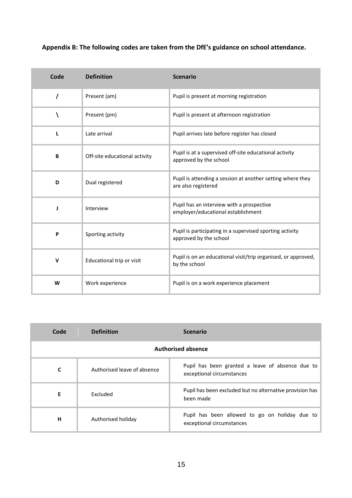## <span id="page-15-0"></span>**Appendix B: The following codes are taken from the DfE's guidance on school attendance.**

| Code        | <b>Definition</b>             | <b>Scenario</b>                                                                    |
|-------------|-------------------------------|------------------------------------------------------------------------------------|
| $\prime$    | Present (am)                  | Pupil is present at morning registration                                           |
|             | Present (pm)                  | Pupil is present at afternoon registration                                         |
| L           | Late arrival                  | Pupil arrives late before register has closed                                      |
| B           | Off-site educational activity | Pupil is at a supervised off-site educational activity<br>approved by the school   |
| D           | Dual registered               | Pupil is attending a session at another setting where they<br>are also registered  |
| J           | Interview                     | Pupil has an interview with a prospective<br>employer/educational establishment    |
| P           | Sporting activity             | Pupil is participating in a supervised sporting activity<br>approved by the school |
| $\mathbf v$ | Educational trip or visit     | Pupil is on an educational visit/trip organised, or approved,<br>by the school     |
| W           | Work experience               | Pupil is on a work experience placement                                            |

| Code                      | <b>Definition</b>           | <b>Scenario</b>                                                               |
|---------------------------|-----------------------------|-------------------------------------------------------------------------------|
| <b>Authorised absence</b> |                             |                                                                               |
| C                         | Authorised leave of absence | Pupil has been granted a leave of absence due to<br>exceptional circumstances |
| E                         | Excluded                    | Pupil has been excluded but no alternative provision has<br>been made         |
| н                         | Authorised holiday          | Pupil has been allowed to go on holiday due to<br>exceptional circumstances   |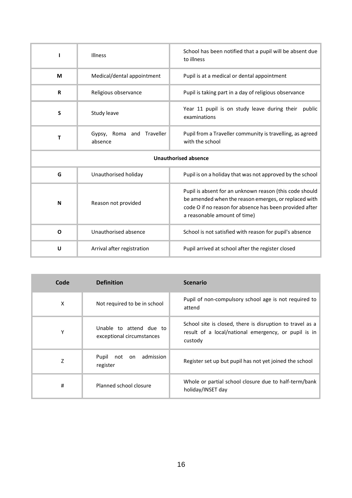|                             | Illness                              | School has been notified that a pupil will be absent due<br>to illness                                                                                                                                     |
|-----------------------------|--------------------------------------|------------------------------------------------------------------------------------------------------------------------------------------------------------------------------------------------------------|
| M                           | Medical/dental appointment           | Pupil is at a medical or dental appointment                                                                                                                                                                |
| $\mathbf R$                 | Religious observance                 | Pupil is taking part in a day of religious observance                                                                                                                                                      |
| S                           | Study leave                          | Year 11 pupil is on study leave during their<br>public<br>examinations                                                                                                                                     |
| т                           | Gypsy, Roma and Traveller<br>absence | Pupil from a Traveller community is travelling, as agreed<br>with the school                                                                                                                               |
| <b>Unauthorised absence</b> |                                      |                                                                                                                                                                                                            |
| G                           | Unauthorised holiday                 | Pupil is on a holiday that was not approved by the school                                                                                                                                                  |
| N                           | Reason not provided                  | Pupil is absent for an unknown reason (this code should<br>be amended when the reason emerges, or replaced with<br>code O if no reason for absence has been provided after<br>a reasonable amount of time) |
| $\Omega$                    | Unauthorised absence                 | School is not satisfied with reason for pupil's absence                                                                                                                                                    |
| U                           | Arrival after registration           | Pupil arrived at school after the register closed                                                                                                                                                          |

| Code | <b>Definition</b>                                    | <b>Scenario</b>                                                                                                              |
|------|------------------------------------------------------|------------------------------------------------------------------------------------------------------------------------------|
| X    | Not required to be in school                         | Pupil of non-compulsory school age is not required to<br>attend                                                              |
| Υ    | Unable to attend due to<br>exceptional circumstances | School site is closed, there is disruption to travel as a<br>result of a local/national emergency, or pupil is in<br>custody |
| Z    | admission<br>Pupil<br>not<br>on<br>register          | Register set up but pupil has not yet joined the school                                                                      |
| #    | Planned school closure                               | Whole or partial school closure due to half-term/bank<br>holiday/INSET day                                                   |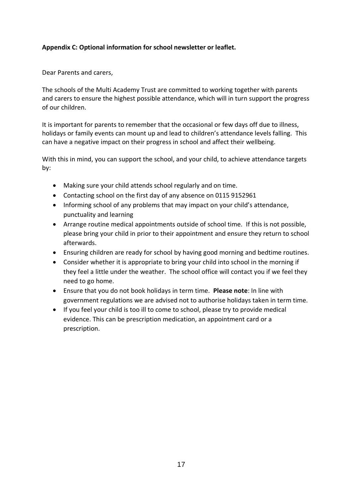#### <span id="page-17-0"></span>**Appendix C: Optional information for school newsletter or leaflet.**

Dear Parents and carers,

The schools of the Multi Academy Trust are committed to working together with parents and carers to ensure the highest possible attendance, which will in turn support the progress of our children.

It is important for parents to remember that the occasional or few days off due to illness, holidays or family events can mount up and lead to children's attendance levels falling. This can have a negative impact on their progress in school and affect their wellbeing.

With this in mind, you can support the school, and your child, to achieve attendance targets by:

- Making sure your child attends school regularly and on time.
- Contacting school on the first day of any absence on 0115 9152961
- Informing school of any problems that may impact on your child's attendance, punctuality and learning
- Arrange routine medical appointments outside of school time. If this is not possible, please bring your child in prior to their appointment and ensure they return to school afterwards.
- Ensuring children are ready for school by having good morning and bedtime routines.
- Consider whether it is appropriate to bring your child into school in the morning if they feel a little under the weather. The school office will contact you if we feel they need to go home.
- Ensure that you do not book holidays in term time. **Please note**: In line with government regulations we are advised not to authorise holidays taken in term time.
- If you feel your child is too ill to come to school, please try to provide medical evidence. This can be prescription medication, an appointment card or a prescription.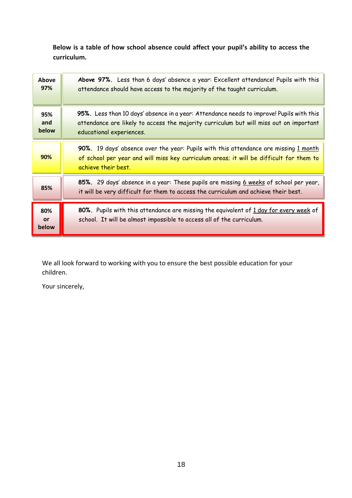**Below is a table of how school absence could affect your pupil's ability to access the curriculum.**

| <b>Above</b><br>97% | Above 97%. Less than 6 days' absence a year: Excellent attendance! Pupils with this<br>attendance should have access to the majority of the taught curriculum.                                                 |
|---------------------|----------------------------------------------------------------------------------------------------------------------------------------------------------------------------------------------------------------|
| 95%<br>and<br>below | 95%. Less than 10 days' absence in a year: Attendance needs to improve! Pupils with this<br>attendance are likely to access the majority curriculum but will miss out on important<br>educational experiences. |
| 90%                 | 90%. 19 days' absence over the year: Pupils with this attendance are missing 1 month<br>of school per year and will miss key curriculum areas; it will be difficult for them to<br>achieve their best.         |
| 85%                 | 85%. 29 days' absence in a year: These pupils are missing 6 weeks of school per year,<br>it will be very difficult for them to access the curriculum and achieve their best.                                   |
| 80%<br>or<br>below  | 80%. Pupils with this attendance are missing the equivalent of 1 day for every week of<br>school. It will be almost impossible to access all of the curriculum.                                                |

We all look forward to working with you to ensure the best possible education for your children.

Your sincerely,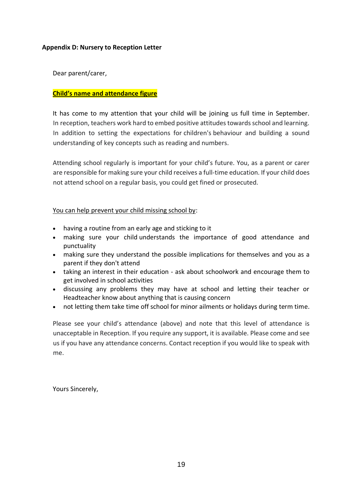#### <span id="page-19-0"></span>**Appendix D: Nursery to Reception Letter**

Dear parent/carer,

#### **Child's name and attendance figure**

It has come to my attention that your child will be joining us full time in September. In reception, teachers work hard to embed positive attitudes towards school and learning. In addition to setting the expectations for children's behaviour and building a sound understanding of key concepts such as reading and numbers.

Attending school regularly is important for your child's future. You, as a parent or carer are responsible for making sure your child receives a full-time education. If your child does not attend school on a regular basis, you could get fined or prosecuted.

You can help prevent your child missing school by:

- having a routine from an early age and sticking to it
- making sure your child understands the importance of good attendance and punctuality
- making sure they understand the possible implications for themselves and you as a parent if they don't attend
- taking an interest in their education ask about schoolwork and encourage them to get involved in school activities
- discussing any problems they may have at school and letting their teacher or Headteacher know about anything that is causing concern
- not letting them take time off school for minor ailments or holidays during term time.

Please see your child's attendance (above) and note that this level of attendance is unacceptable in Reception. If you require any support, it is available. Please come and see us if you have any attendance concerns. Contact reception if you would like to speak with me.

Yours Sincerely,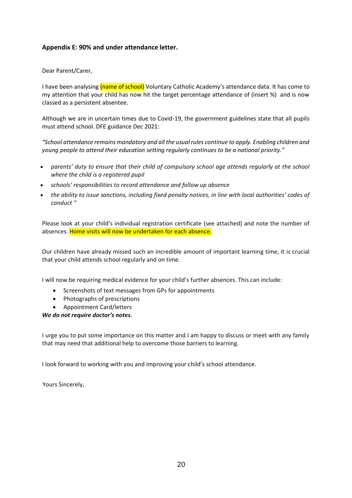#### <span id="page-20-0"></span>**Appendix E: 90% and under attendance letter.**

Dear Parent/Carer,

I have been analysing (name of school) Voluntary Catholic Academy's attendance data. It has come to my attention that your child has now hit the target percentage attendance of (insert %) and is now classed as a persistent absentee.

Although we are in uncertain times due to Covid-19, the government guidelines state that all pupils must attend school. DFE guidance Dec 2021:

*"School attendance remains mandatory and all the usual rules continue to apply. Enabling children and young people to attend their education setting regularly continues to be a national priority."* 

- *parents' duty to ensure that their child of compulsory school age attends regularly at the school where the child is a registered pupil*
- *schools' responsibilities to record attendance and follow up absence*
- *the ability to issue sanctions, including fixed penalty notices, in line with local authorities' codes of conduct "*

Please look at your child's individual registration certificate (see attached) and note the number of absences. Home visits will now be undertaken for each absence.

Our children have already missed such an incredible amount of important learning time, it is crucial that your child attends school regularly and on time.

I will now be requiring medical evidence for your child's further absences. This can include:

- Screenshots of text messages from GPs for appointments
- Photographs of prescriptions
- Appointment Card/letters

#### *We do not require doctor's notes.*

I urge you to put some importance on this matter and I am happy to discuss or meet with any family that may need that additional help to overcome those barriers to learning.

I look forward to working with you and improving your child's school attendance.

Yours Sincerely,